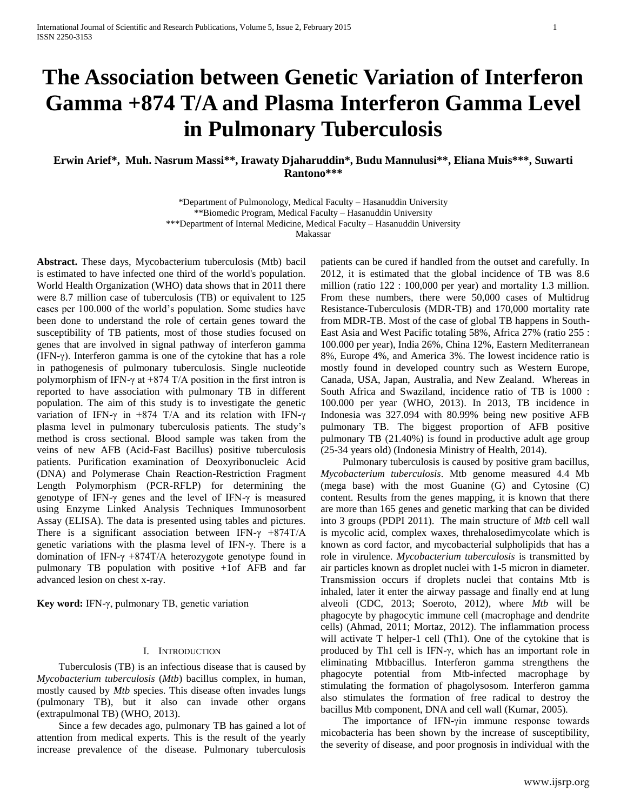# **The Association between Genetic Variation of Interferon Gamma +874 T/A and Plasma Interferon Gamma Level in Pulmonary Tuberculosis**

**Erwin Arief\*, Muh. Nasrum Massi\*\*, Irawaty Djaharuddin\*, Budu Mannulusi\*\*, Eliana Muis\*\*\*, Suwarti Rantono\*\*\***

> \*Department of Pulmonology, Medical Faculty – Hasanuddin University \*\*Biomedic Program, Medical Faculty – Hasanuddin University \*\*\*Department of Internal Medicine, Medical Faculty – Hasanuddin University Makassar

**Abstract.** These days, Mycobacterium tuberculosis (Mtb) bacil is estimated to have infected one third of the world's population. World Health Organization (WHO) data shows that in 2011 there were 8.7 million case of tuberculosis (TB) or equivalent to 125 cases per 100.000 of the world's population. Some studies have been done to understand the role of certain genes toward the susceptibility of TB patients, most of those studies focused on genes that are involved in signal pathway of interferon gamma (IFN-γ). Interferon gamma is one of the cytokine that has a role in pathogenesis of pulmonary tuberculosis. Single nucleotide polymorphism of IFN- $\gamma$  at +874 T/A position in the first intron is reported to have association with pulmonary TB in different population. The aim of this study is to investigate the genetic variation of IFN-γ in +874 T/A and its relation with IFN-γ plasma level in pulmonary tuberculosis patients. The study's method is cross sectional. Blood sample was taken from the veins of new AFB (Acid-Fast Bacillus) positive tuberculosis patients. Purification examination of Deoxyribonucleic Acid (DNA) and Polymerase Chain Reaction-Restriction Fragment Length Polymorphism (PCR-RFLP) for determining the genotype of IFN-γ genes and the level of IFN-γ is measured using Enzyme Linked Analysis Techniques Immunosorbent Assay (ELISA). The data is presented using tables and pictures. There is a significant association between IFN- $\gamma$  +874T/A genetic variations with the plasma level of IFN-γ. There is a domination of IFN- $\gamma$  +874T/A heterozygote genotype found in pulmonary TB population with positive +1of AFB and far advanced lesion on chest x-ray.

**Key word:** IFN-γ, pulmonary TB, genetic variation

#### I. INTRODUCTION

Tuberculosis (TB) is an infectious disease that is caused by *Mycobacterium tuberculosis* (*Mtb*) bacillus complex, in human, mostly caused by *Mtb* species. This disease often invades lungs (pulmonary TB), but it also can invade other organs (extrapulmonal TB) (WHO, 2013).

Since a few decades ago, pulmonary TB has gained a lot of attention from medical experts. This is the result of the yearly increase prevalence of the disease. Pulmonary tuberculosis patients can be cured if handled from the outset and carefully. In 2012, it is estimated that the global incidence of TB was 8.6 million (ratio 122 : 100,000 per year) and mortality 1.3 million. From these numbers, there were 50,000 cases of Multidrug Resistance-Tuberculosis (MDR-TB) and 170,000 mortality rate from MDR-TB. Most of the case of global TB happens in South-East Asia and West Pacific totaling 58%, Africa 27% (ratio 255 : 100.000 per year), India 26%, China 12%, Eastern Mediterranean 8%, Europe 4%, and America 3%. The lowest incidence ratio is mostly found in developed country such as Western Europe, Canada, USA, Japan, Australia, and New Zealand. Whereas in South Africa and Swaziland, incidence ratio of TB is 1000 : 100.000 per year (WHO, 2013). In 2013, TB incidence in Indonesia was 327.094 with 80.99% being new positive AFB pulmonary TB. The biggest proportion of AFB positive pulmonary TB (21.40%) is found in productive adult age group (25-34 years old) (Indonesia Ministry of Health, 2014).

Pulmonary tuberculosis is caused by positive gram bacillus, *Mycobacterium tuberculosis*. Mtb genome measured 4.4 Mb (mega base) with the most Guanine (G) and Cytosine (C) content. Results from the genes mapping, it is known that there are more than 165 genes and genetic marking that can be divided into 3 groups (PDPI 2011). The main structure of *Mtb* cell wall is mycolic acid, complex waxes, threhalosedimycolate which is known as cord factor, and mycobacterial sulpholipids that has a role in virulence. *Mycobacterium tuberculosis* is transmitted by air particles known as droplet nuclei with 1-5 micron in diameter. Transmission occurs if droplets nuclei that contains Mtb is inhaled, later it enter the airway passage and finally end at lung alveoli (CDC, 2013; Soeroto, 2012), where *Mtb* will be phagocyte by phagocytic immune cell (macrophage and dendrite cells) (Ahmad, 2011; Mortaz, 2012). The inflammation process will activate T helper-1 cell (Th1). One of the cytokine that is produced by Th1 cell is IFN-γ, which has an important role in eliminating Mtbbacillus. Interferon gamma strengthens the phagocyte potential from Mtb-infected macrophage by stimulating the formation of phagolysosom. Interferon gamma also stimulates the formation of free radical to destroy the bacillus Mtb component, DNA and cell wall (Kumar, 2005).

The importance of IFN-γin immune response towards micobacteria has been shown by the increase of susceptibility, the severity of disease, and poor prognosis in individual with the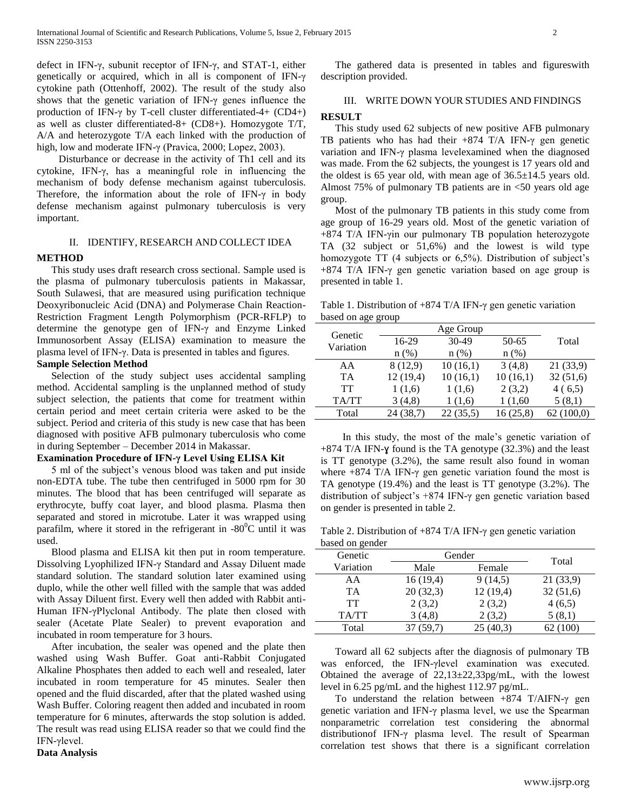defect in IFN-γ, subunit receptor of IFN-γ, and STAT-1, either genetically or acquired, which in all is component of IFN-γ cytokine path (Ottenhoff, 2002). The result of the study also shows that the genetic variation of IFN-γ genes influence the production of IFN-γ by T-cell cluster differentiated-4+ (CD4+) as well as cluster differentiated-8+ (CD8+). Homozygote T/T, A/A and heterozygote T/A each linked with the production of high, low and moderate IFN-γ (Pravica, 2000; Lopez, 2003).

Disturbance or decrease in the activity of Th1 cell and its cytokine, IFN-γ, has a meaningful role in influencing the mechanism of body defense mechanism against tuberculosis. Therefore, the information about the role of IFN-γ in body defense mechanism against pulmonary tuberculosis is very important.

# II. IDENTIFY, RESEARCH AND COLLECT IDEA

## **METHOD**

This study uses draft research cross sectional. Sample used is the plasma of pulmonary tuberculosis patients in Makassar, South Sulawesi, that are measured using purification technique Deoxyribonucleic Acid (DNA) and Polymerase Chain Reaction-Restriction Fragment Length Polymorphism (PCR-RFLP) to determine the genotype gen of IFN-γ and Enzyme Linked Immunosorbent Assay (ELISA) examination to measure the plasma level of IFN-γ. Data is presented in tables and figures. **Sample Selection Method**

Selection of the study subject uses accidental sampling method. Accidental sampling is the unplanned method of study subject selection, the patients that come for treatment within certain period and meet certain criteria were asked to be the subject. Period and criteria of this study is new case that has been diagnosed with positive AFB pulmonary tuberculosis who come in during September – December 2014 in Makassar.

# **Examination Procedure of IFN-γ Level Using ELISA Kit**

5 ml of the subject's venous blood was taken and put inside non-EDTA tube. The tube then centrifuged in 5000 rpm for 30 minutes. The blood that has been centrifuged will separate as erythrocyte, buffy coat layer, and blood plasma. Plasma then separated and stored in microtube. Later it was wrapped using parafilm, where it stored in the refrigerant in  $-80^{\circ}$ C until it was used.

Blood plasma and ELISA kit then put in room temperature. Dissolving Lyophilized IFN-γ Standard and Assay Diluent made standard solution. The standard solution later examined using duplo, while the other well filled with the sample that was added with Assay Diluent first. Every well then added with Rabbit anti-Human IFN-γPlyclonal Antibody. The plate then closed with sealer (Acetate Plate Sealer) to prevent evaporation and incubated in room temperature for 3 hours.

After incubation, the sealer was opened and the plate then washed using Wash Buffer. Goat anti-Rabbit Conjugated Alkaline Phosphates then added to each well and resealed, later incubated in room temperature for 45 minutes. Sealer then opened and the fluid discarded, after that the plated washed using Wash Buffer. Coloring reagent then added and incubated in room temperature for 6 minutes, afterwards the stop solution is added. The result was read using ELISA reader so that we could find the IFN-γlevel.

# **Data Analysis**

The gathered data is presented in tables and figureswith description provided.

# III. WRITE DOWN YOUR STUDIES AND FINDINGS

# **RESULT**

This study used 62 subjects of new positive AFB pulmonary TB patients who has had their  $+874$  T/A IFN- $\gamma$  gen genetic variation and IFN-γ plasma levelexamined when the diagnosed was made. From the 62 subjects, the youngest is 17 years old and the oldest is 65 year old, with mean age of  $36.5 \pm 14.5$  years old. Almost 75% of pulmonary TB patients are in <50 years old age group.

Most of the pulmonary TB patients in this study come from age group of 16-29 years old. Most of the genetic variation of +874 T/A IFN-γin our pulmonary TB population heterozygote TA (32 subject or 51,6%) and the lowest is wild type homozygote TT (4 subjects or 6,5%). Distribution of subject's +874 T/A IFN-γ gen genetic variation based on age group is presented in table 1.

Table 1. Distribution of +874 T/A IFN-γ gen genetic variation based on age group

| Genetic   |          |          |          |           |
|-----------|----------|----------|----------|-----------|
| Variation | 16-29    | 30-49    | 50-65    | Total     |
|           | $n$ (%)  | $n$ (%)  | $n$ (%)  |           |
| AA        | 8(12,9)  | 10(16,1) | 3(4,8)   | 21(33,9)  |
| <b>TA</b> | 12(19,4) | 10(16,1) | 10(16,1) | 32(51,6)  |
| <b>TT</b> | 1(1,6)   | 1(1,6)   | 2(3,2)   | 4(6,5)    |
| TA/TT     | 3(4,8)   | 1(1,6)   | 1 (1,60) | 5(8,1)    |
| Total     | 24(38,7) | 22(35,5) | 16(25,8) | 62(100,0) |

In this study, the most of the male's genetic variation of +874 T/A IFN-ɣ found is the TA genotype (32.3%) and the least is TT genotype (3.2%), the same result also found in woman where  $+874$  T/A IFN- $\gamma$  gen genetic variation found the most is TA genotype (19.4%) and the least is TT genotype (3.2%). The distribution of subject's +874 IFN-γ gen genetic variation based on gender is presented in table 2.

Table 2. Distribution of +874 T/A IFN-γ gen genetic variation based on gender

| Genetic   | Gender    |          |           |
|-----------|-----------|----------|-----------|
| Variation | Male      | Female   | Total     |
| AA        | 16(19,4)  | 9(14,5)  | 21 (33,9) |
| TA.       | 20(32,3)  | 12(19,4) | 32(51,6)  |
| TT        | 2(3,2)    | 2(3,2)   | 4(6,5)    |
| TA/TT     | 3(4,8)    | 2(3,2)   | 5(8,1)    |
| Total     | 37 (59,7) | 25(40,3) | 62 (100)  |

Toward all 62 subjects after the diagnosis of pulmonary TB was enforced, the IFN-γlevel examination was executed. Obtained the average of 22,13±22,33pg/mL, with the lowest level in 6.25 pg/mL and the highest 112.97 pg/mL.

To understand the relation between +874 T/AIFN-γ gen genetic variation and IFN-γ plasma level, we use the Spearman nonparametric correlation test considering the abnormal distributionof IFN-γ plasma level. The result of Spearman correlation test shows that there is a significant correlation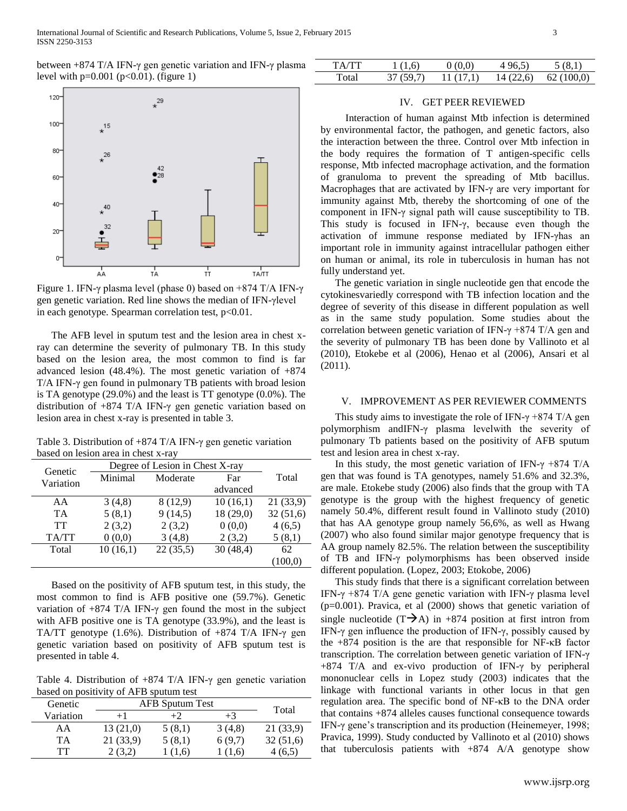between +874 T/A IFN-γ gen genetic variation and IFN-γ plasma level with  $p=0.001$  ( $p<0.01$ ). (figure 1)

| TA/TT | 1(1,6)    | 0(0.0)    | 4 96.5)   | 5(8,1)    |
|-------|-----------|-----------|-----------|-----------|
| Total | 37 (59.7) | 11 (17.1) | 14 (22,6) | 62(100,0) |



Figure 1. IFN-γ plasma level (phase 0) based on +874 T/A IFN-γ gen genetic variation. Red line shows the median of IFN-γlevel in each genotype. Spearman correlation test, p<0.01.

The AFB level in sputum test and the lesion area in chest xray can determine the severity of pulmonary TB. In this study based on the lesion area, the most common to find is far advanced lesion (48.4%). The most genetic variation of +874 T/A IFN-γ gen found in pulmonary TB patients with broad lesion is TA genotype (29.0%) and the least is TT genotype (0.0%). The distribution of +874 T/A IFN-γ gen genetic variation based on lesion area in chest x-ray is presented in table 3.

Table 3. Distribution of +874 T/A IFN-γ gen genetic variation based on lesion area in chest x-ray

| Genetic   | Degree of Lesion in Chest X-ray |          |           |          |
|-----------|---------------------------------|----------|-----------|----------|
| Variation | Minimal                         | Moderate | Far       | Total    |
|           |                                 |          | advanced  |          |
| AA        | 3(4,8)                          | 8(12,9)  | 10(16,1)  | 21(33,9) |
| <b>TA</b> | 5(8,1)                          | 9(14,5)  | 18 (29,0) | 32(51,6) |
| TT        | 2(3,2)                          | 2(3,2)   | 0(0,0)    | 4(6,5)   |
| TA/TT     | 0(0,0)                          | 3(4,8)   | 2(3,2)    | 5(8,1)   |
| Total     | 10(16,1)                        | 22(35,5) | 30(48,4)  | 62       |
|           |                                 |          |           | (100.0)  |

Based on the positivity of AFB sputum test, in this study, the most common to find is AFB positive one (59.7%). Genetic variation of  $+874$  T/A IFN- $\gamma$  gen found the most in the subject with AFB positive one is TA genotype (33.9%), and the least is TA/TT genotype (1.6%). Distribution of +874 T/A IFN-γ gen genetic variation based on positivity of AFB sputum test is presented in table 4.

Table 4. Distribution of +874 T/A IFN-γ gen genetic variation based on positivity of AFB sputum test

| Genetic   | <b>AFB Sputum Test</b> |        |        | Total    |
|-----------|------------------------|--------|--------|----------|
| Variation | $+1$                   |        | $+3$   |          |
| AΑ        | 13(21,0)               | 5(8,1) | 3(4,8) | 21(33,9) |
| <b>TA</b> | 21 (33.9)              | 5(8,1) | 6(9.7) | 32(51,6) |
| TT        | 2(3,2)                 | 1(1,6) | (1,6)  | 4 (6,5)  |

### IV. GET PEER REVIEWED

 Interaction of human against Mtb infection is determined by environmental factor, the pathogen, and genetic factors, also the interaction between the three. Control over Mtb infection in the body requires the formation of T antigen-specific cells response, Mtb infected macrophage activation, and the formation of granuloma to prevent the spreading of Mtb bacillus. Macrophages that are activated by IFN-γ are very important for immunity against Mtb, thereby the shortcoming of one of the component in IFN-γ signal path will cause susceptibility to TB. This study is focused in IFN-γ, because even though the activation of immune response mediated by IFN-γhas an important role in immunity against intracellular pathogen either on human or animal, its role in tuberculosis in human has not fully understand yet.

The genetic variation in single nucleotide gen that encode the cytokinesvariedly correspond with TB infection location and the degree of severity of this disease in different population as well as in the same study population. Some studies about the correlation between genetic variation of IFN-γ +874 T/A gen and the severity of pulmonary TB has been done by Vallinoto et al (2010), Etokebe et al (2006), Henao et al (2006), Ansari et al (2011).

## V. IMPROVEMENT AS PER REVIEWER COMMENTS

This study aims to investigate the role of IFN- $\gamma$  +874 T/A gen polymorphism andIFN-γ plasma levelwith the severity of pulmonary Tb patients based on the positivity of AFB sputum test and lesion area in chest x-ray.

In this study, the most genetic variation of IFN- $\gamma$  +874 T/A gen that was found is TA genotypes, namely 51.6% and 32.3%, are male. Etokebe study (2006) also finds that the group with TA genotype is the group with the highest frequency of genetic namely 50.4%, different result found in Vallinoto study (2010) that has AA genotype group namely 56,6%, as well as Hwang (2007) who also found similar major genotype frequency that is AA group namely 82.5%. The relation between the susceptibility of TB and IFN-γ polymorphisms has been observed inside different population. (Lopez, 2003; Etokobe, 2006)

This study finds that there is a significant correlation between IFN-γ +874 T/A gene genetic variation with IFN-γ plasma level (p=0.001). Pravica, et al (2000) shows that genetic variation of single nucleotide  $(T\rightarrow A)$  in +874 position at first intron from IFN-γ gen influence the production of IFN-γ, possibly caused by the +874 position is the are that responsible for NF-κB factor transcription. The correlation between genetic variation of IFN-γ  $+874$  T/A and ex-vivo production of IFN- $\gamma$  by peripheral mononuclear cells in Lopez study (2003) indicates that the linkage with functional variants in other locus in that gen regulation area. The specific bond of NF-κB to the DNA order that contains +874 alleles causes functional consequence towards IFN-γ gene's transcription and its production (Heinemeyer, 1998; Pravica, 1999). Study conducted by Vallinoto et al (2010) shows that tuberculosis patients with  $+874$  A/A genotype show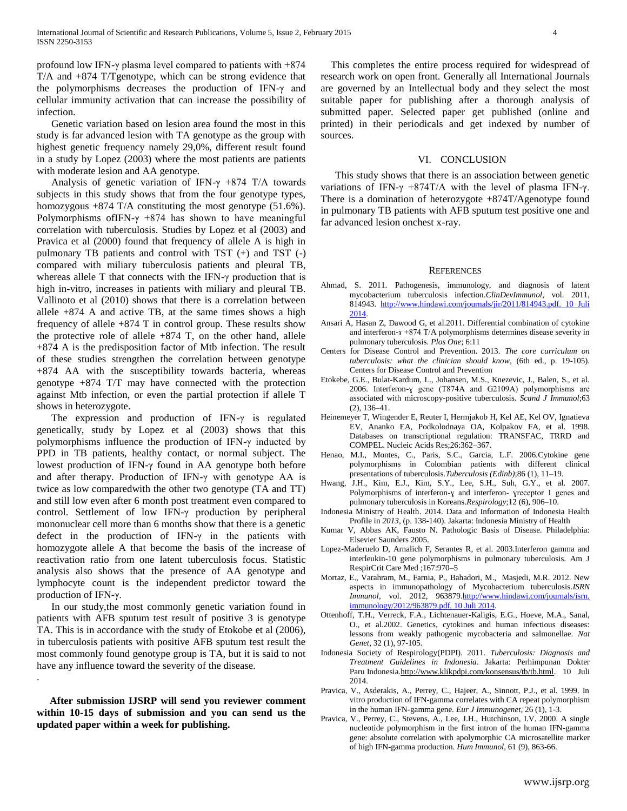profound low IFN-γ plasma level compared to patients with +874 T/A and +874 T/Tgenotype, which can be strong evidence that the polymorphisms decreases the production of IFN-γ and cellular immunity activation that can increase the possibility of infection.

Genetic variation based on lesion area found the most in this study is far advanced lesion with TA genotype as the group with highest genetic frequency namely 29,0%, different result found in a study by Lopez (2003) where the most patients are patients with moderate lesion and AA genotype.

Analysis of genetic variation of IFN- $\gamma$  +874 T/A towards subjects in this study shows that from the four genotype types, homozygous +874 T/A constituting the most genotype (51.6%). Polymorphisms of IFN- $\gamma$  +874 has shown to have meaningful correlation with tuberculosis. Studies by Lopez et al (2003) and Pravica et al (2000) found that frequency of allele A is high in pulmonary TB patients and control with TST (+) and TST (-) compared with miliary tuberculosis patients and pleural TB, whereas allele T that connects with the IFN-γ production that is high in-vitro, increases in patients with miliary and pleural TB. Vallinoto et al (2010) shows that there is a correlation between allele  $+874$  A and active TB, at the same times shows a high frequency of allele  $+874$  T in control group. These results show the protective role of allele  $+874$  T, on the other hand, allele +874 A is the predisposition factor of Mtb infection. The result of these studies strengthen the correlation between genotype +874 AA with the susceptibility towards bacteria, whereas genotype +874 T/T may have connected with the protection against Mtb infection, or even the partial protection if allele T shows in heterozygote.

The expression and production of IFN- $\gamma$  is regulated genetically, study by Lopez et al (2003) shows that this polymorphisms influence the production of IFN-γ inducted by PPD in TB patients, healthy contact, or normal subject. The lowest production of IFN-γ found in AA genotype both before and after therapy. Production of IFN-γ with genotype AA is twice as low comparedwith the other two genotype (TA and TT) and still low even after 6 month post treatment even compared to control. Settlement of low IFN-γ production by peripheral mononuclear cell more than 6 months show that there is a genetic defect in the production of IFN-γ in the patients with homozygote allele A that become the basis of the increase of reactivation ratio from one latent tuberculosis focus. Statistic analysis also shows that the presence of AA genotype and lymphocyte count is the independent predictor toward the production of IFN-γ.

In our study,the most commonly genetic variation found in patients with AFB sputum test result of positive 3 is genotype TA. This is in accordance with the study of Etokobe et al (2006), in tuberculosis patients with positive AFB sputum test result the most commonly found genotype group is TA, but it is said to not have any influence toward the severity of the disease.

 **After submission IJSRP will send you reviewer comment within 10-15 days of submission and you can send us the updated paper within a week for publishing.** 

.

 This completes the entire process required for widespread of research work on open front. Generally all International Journals are governed by an Intellectual body and they select the most suitable paper for publishing after a thorough analysis of submitted paper. Selected paper get published (online and printed) in their periodicals and get indexed by number of sources.

## VI. CONCLUSION

This study shows that there is an association between genetic variations of IFN-γ +874T/A with the level of plasma IFN-γ. There is a domination of heterozygote +874T/Agenotype found in pulmonary TB patients with AFB sputum test positive one and far advanced lesion onchest x-ray.

#### **REFERENCES**

- Ahmad, S. 2011. Pathogenesis, immunology, and diagnosis of latent mycobacterium tuberculosis infection.*ClinDevImmunol*, vol. 2011, 814943. [http://www.hindawi.com/journals/jir/2011/814943.pdf. 10 Juli](http://www.hindawi.com/journals/jir/2011/814943.pdf.%2010%20Juli%202014)  [2014.](http://www.hindawi.com/journals/jir/2011/814943.pdf.%2010%20Juli%202014)
- Ansari A, Hasan Z, Dawood G, et al.2011. Differential combination of cytokine and interferon- $x +874$  T/A polymorphisms determines disease severity in pulmonary tuberculosis. *Plos One*; 6:11
- Centers for Disease Control and Prevention. 2013. *The core curriculum on tuberculosis: what the clinician should know*, (6th ed., p. 19-105). Centers for Disease Control and Prevention
- Etokebe, G.E., Bulat-Kardum, L., Johansen, M.S., Knezevic, J., Balen, S., et al. 2006. Interferon-ɣ gene (T874A and G2109A) polymorphisms are associated with microscopy-positive tuberculosis. *Scand J Immunol*;63 (2), 136–41.
- Heinemeyer T, Wingender E, Reuter I, Hermjakob H, Kel AE, Kel OV, Ignatieva EV, Ananko EA, Podkolodnaya OA, Kolpakov FA, et al. 1998. Databases on transcriptional regulation: TRANSFAC, TRRD and COMPEL. Nucleic Acids Res;26:362–367.
- Henao, M.I., Montes, C., Paris, S.C., Garcia, L.F. 2006.Cytokine gene polymorphisms in Colombian patients with different clinical presentations of tuberculosis.*Tuberculosis (Edinb)*;86 (1), 11–19.
- Hwang, J.H., Kim, E.J., Kim, S.Y., Lee, S.H., Suh, G.Y., et al. 2007. Polymorphisms of interferon-y and interferon- yreceptor 1 genes and pulmonary tuberculosis in Koreans.*Respirology*;12 (6), 906–10.
- Indonesia Ministry of Health. 2014. Data and Information of Indonesia Health Profile in *2013*, (p. 138-140). Jakarta: Indonesia Ministry of Health
- Kumar V, Abbas AK, Fausto N. Pathologic Basis of Disease. Philadelphia: Elsevier Saunders 2005.
- Lopez-Maderuelo D, Arnalich F, Serantes R, et al. 2003.Interferon gamma and interleukin-10 gene polymorphisms in pulmonary tuberculosis. Am J RespirCrit Care Med ;167:970–5
- Mortaz, E., Varahram, M., Farnia, P., Bahadori, M., Masjedi, M.R. 2012. New aspects in immunopathology of Mycobacterium tuberculosis.*ISRN Immunol*, vol. 2012, 963879[.http://www.hindawi.com/journals/isrn.](http://www.hindawi.com/journals/isrn.%20immunology/2012/963879.pdf.%2010%20Juli%202014) [immunology/2012/963879.pdf. 10 Juli 2014.](http://www.hindawi.com/journals/isrn.%20immunology/2012/963879.pdf.%2010%20Juli%202014)
- Ottenhoff, T.H., Verreck, F.A., Lichtenauer-Kaligis, E.G., Hoeve, M.A., Sanal, O., et al.2002. Genetics, cytokines and human infectious diseases: lessons from weakly pathogenic mycobacteria and salmonellae. *Nat Genet*, 32 (1), 97-105.
- Indonesia Society of Respirology(PDPI). 2011. *Tuberculosis: Diagnosis and Treatment Guidelines in Indonesia*. Jakarta: Perhimpunan Dokter Paru Indonesi[a.http://www.klikpdpi.com/konsensus/tb/tb.html.](http://www.klikpdpi.com/konsensus/tb/tb.html) 10 Juli 2014.
- Pravica, V., Asderakis, A., Perrey, C., Hajeer, A., Sinnott, P.J., et al. 1999. In vitro production of IFN-gamma correlates with CA repeat polymorphism in the human IFN-gamma gene. *Eur J Immunogenet*, 26 (1), 1-3.
- Pravica, V., Perrey, C., Stevens, A., Lee, J.H., Hutchinson, I.V. 2000. A single nucleotide polymorphism in the first intron of the human IFN-gamma gene: absolute correlation with apolymorphic CA microsatellite marker of high IFN-gamma production. *Hum Immunol*, 61 (9), 863-66.